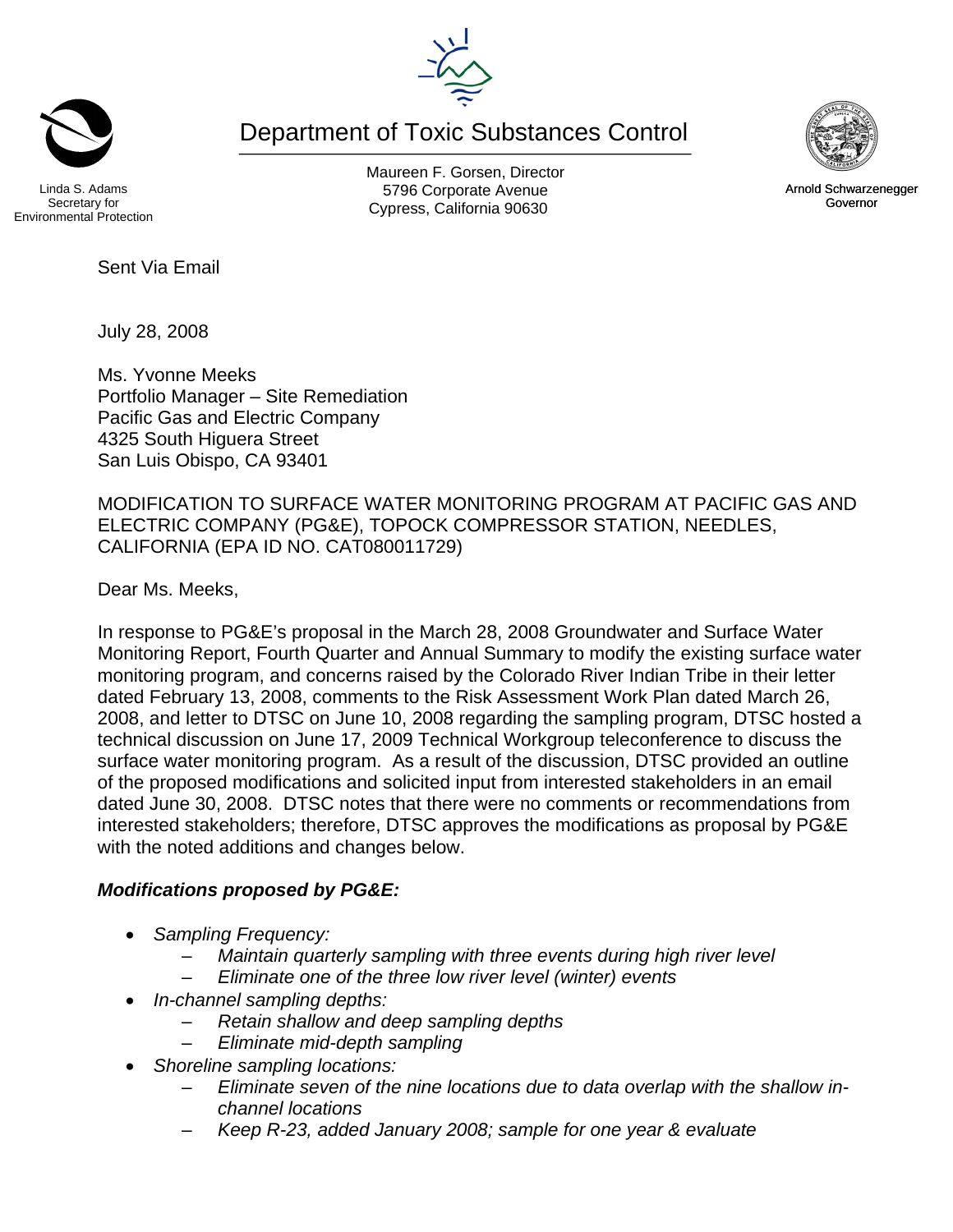Environmental Protection

Linda S. Adams Secretary for

Sent Via Email

July 28, 2008

Ms. Yvonne Meeks Portfolio Manager – Site Remediation Pacific Gas and Electric Company 4325 South Higuera Street San Luis Obispo, CA 93401

MODIFICATION TO SURFACE WATER MONITORING PROGRAM AT PACIFIC GAS AND ELECTRIC COMPANY (PG&E), TOPOCK COMPRESSOR STATION, NEEDLES, CALIFORNIA (EPA ID NO. CAT080011729)

Dear Ms. Meeks,

In response to PG&E's proposal in the March 28, 2008 Groundwater and Surface Water Monitoring Report, Fourth Quarter and Annual Summary to modify the existing surface water monitoring program, and concerns raised by the Colorado River Indian Tribe in their letter dated February 13, 2008, comments to the Risk Assessment Work Plan dated March 26, 2008, and letter to DTSC on June 10, 2008 regarding the sampling program, DTSC hosted a technical discussion on June 17, 2009 Technical Workgroup teleconference to discuss the surface water monitoring program. As a result of the discussion, DTSC provided an outline of the proposed modifications and solicited input from interested stakeholders in an email dated June 30, 2008. DTSC notes that there were no comments or recommendations from interested stakeholders; therefore, DTSC approves the modifications as proposal by PG&E with the noted additions and changes below.

## *Modifications proposed by PG&E:*

- *Sampling Frequency:* 
	- *Maintain quarterly sampling with three events during high river level*
	- *Eliminate one of the three low river level (winter) events*
- *In-channel sampling depths:* 
	- *Retain shallow and deep sampling depths*
	- *Eliminate mid-depth sampling*
	- *Shoreline sampling locations:* 
		- *Eliminate seven of the nine locations due to data overlap with the shallow inchannel locations*
		- *Keep R-23, added January 2008; sample for one year & evaluate*





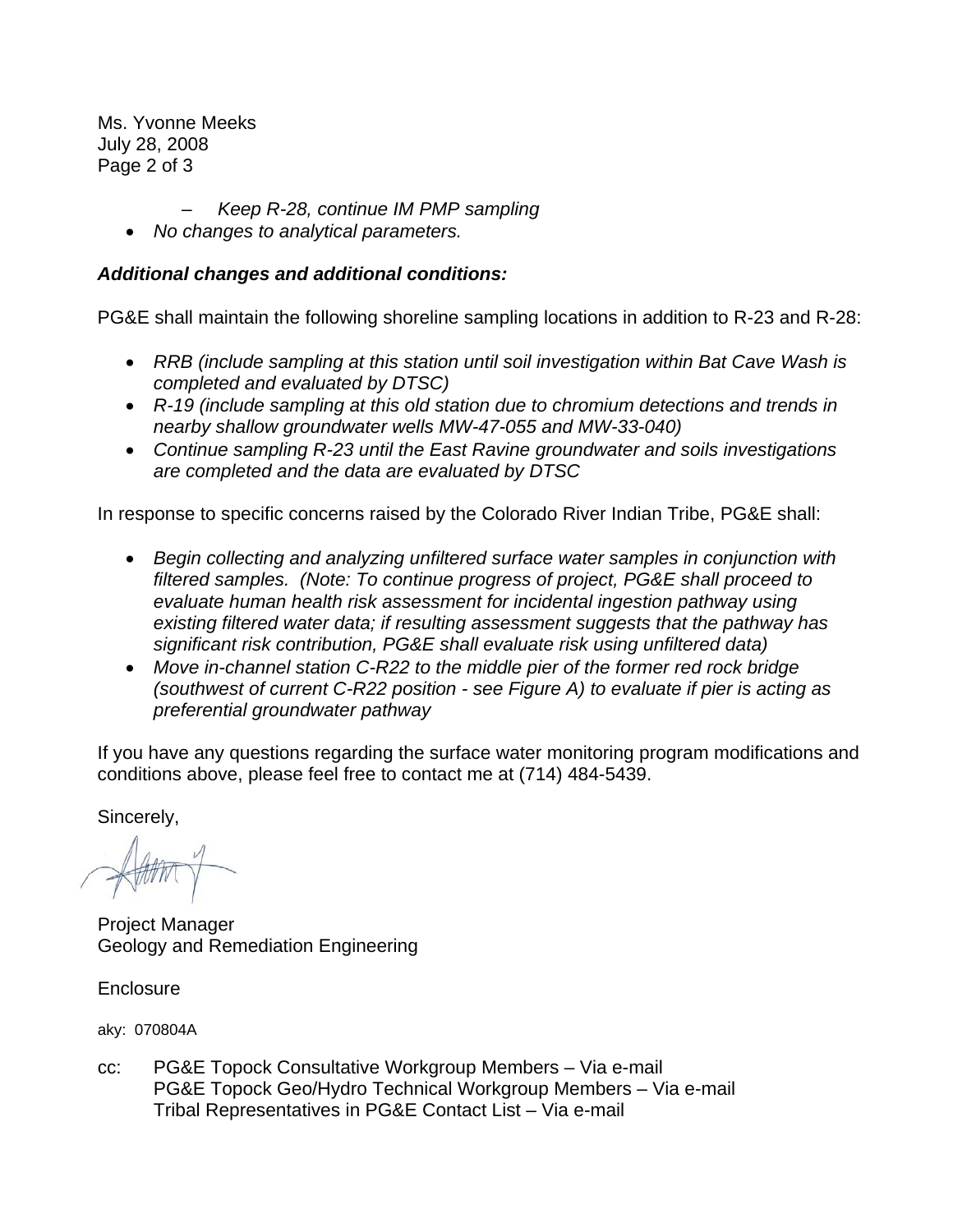Ms. Yvonne Meeks July 28, 2008 Page 2 of 3

- *Keep R-28, continue IM PMP sampling*
- *No changes to analytical parameters.*

## *Additional changes and additional conditions:*

PG&E shall maintain the following shoreline sampling locations in addition to R-23 and R-28:

- *RRB (include sampling at this station until soil investigation within Bat Cave Wash is completed and evaluated by DTSC)*
- *R-19 (include sampling at this old station due to chromium detections and trends in nearby shallow groundwater wells MW-47-055 and MW-33-040)*
- *Continue sampling R-23 until the East Ravine groundwater and soils investigations are completed and the data are evaluated by DTSC*

In response to specific concerns raised by the Colorado River Indian Tribe, PG&E shall:

- *Begin collecting and analyzing unfiltered surface water samples in conjunction with filtered samples. (Note: To continue progress of project, PG&E shall proceed to evaluate human health risk assessment for incidental ingestion pathway using existing filtered water data; if resulting assessment suggests that the pathway has significant risk contribution, PG&E shall evaluate risk using unfiltered data)*
- *Move in-channel station C-R22 to the middle pier of the former red rock bridge (southwest of current C-R22 position - see Figure A) to evaluate if pier is acting as preferential groundwater pathway*

If you have any questions regarding the surface water monitoring program modifications and conditions above, please feel free to contact me at (714) 484-5439.

Sincerely,

 $-144$ 

Project Manager Geology and Remediation Engineering

**Enclosure** 

aky: 070804A

cc: PG&E Topock Consultative Workgroup Members – Via e-mail PG&E Topock Geo/Hydro Technical Workgroup Members – Via e-mail Tribal Representatives in PG&E Contact List – Via e-mail